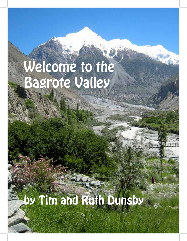# Welcome to the Bagrote Valley

## by Tim and Ruth Dunsby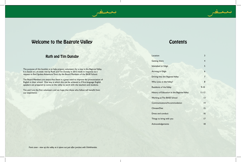## Welcome to the Bagrote Valley

ىتىق

#### Ruth and Tim Dunsby

The purpose of this booklet is to help prepare volunteers for a stay in the Bagrote Valley. It is based on a 6-week visit by Ruth and Tim Dunsby in 2013 made in response to a request to Red Spokes Adventure Tours by the Board Members of the BASE School.

The Board Members are aware that there is a great need to improve the pronunciation of English in their school. One way in which this can be achieved is if first-language English speakers are prepared to come to the valley to work with the teachers and students.

Tim and I are the first volunteers and we hope that those who follow will benefit from our experience.

#### **Contents**

ىنىق

| Location                                   | 3                       |
|--------------------------------------------|-------------------------|
| Getting there                              | $\overline{\mathbf{4}}$ |
| <b>Islamabad</b> to Gilgit                 | 5                       |
| <b>Arriving in Gilgit</b>                  | 6                       |
| Driving Into the Bagrote Valley            | $\overline{7}$          |
| Who Lives in the Valley?                   | 8                       |
| Residents of the Valley                    | $9 - 10$                |
| History of Education in the Bagrote Valley | $11 - 12$               |
| Working at The BASE School                 | 3                       |
| Communications/Accommodation               | 4                       |
| Climate/Diet                               | 15                      |
| Dress and conduct                          | 16                      |
| Things to bring with you                   | $\overline{17}$         |
| Acknowledgements                           | 18                      |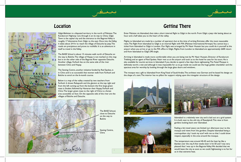

#### Location



Gilgit-Baltistan is a disputed territory in the north of Pakistan. The Karakorum Highway runs through it on its way to China. Gilgit Town is the capital city and the entrance to the Bagrote Valley is roughly 17 kilometres from Gilgit. to the east. Once into the Valley it takes about 3/4 hr to reach the village of Datuche by jeep. The roads are precipitous and prone to rockfalls. It is an adventure in itself to travel in the Valley.

The BASE School is about 15 minutes walk north of Datuche on the way to Bulche. The village of Hopay is not marked on this map but is on the other side of the Bagrote River opposite Datuche. Another village, Farfooh lies on the same side of the river between Chira and Hopay.

The Sewing Centre, another initiative funded by Red Spokes, is in Chira and is so successful that women walk from Farfooh and Bulche to enrol on the 6-month course.

Below is a map of the valley created by two teachers from Farfooh. It shows Rakaposhi and the glaciers at the top right and from the left coming up from the bottom the first large green mass is Sinaker, followed by Hamaran then Hopay, Farfooh and Chira. The larger green mass to the right of Chira is a forest area accessible on foot. On the opposite side of the river are the villages of Bulche and Datuche.



The BASE School, close to Datuche on the way to Bulche

Sewing Centre, Chira

 $4 \frac{1}{2}$ 

## Getting There

Enter Pakistan via Islamabad, then take a short internal flight to Gilgit in the north. From Gilgit a jeep ride lasting about an hour and a half takes you to the heart of the valley.

Flights to Islamabad are made by a number of operators but at the time of writing Emirates offer the most reasonable rates. The flight from Islamabad to Gilgit is an internal flight with PIA (Pakistan International Airways). You cannot buy a ticket from Islamabad to Gilgit in London. Our flight was arranged by Mr Nasir Hussain but you could do it yourself at the airport when you arrive or go to the PIA office in Gilgit. Flights from London to Islamabad are approximately £600 return and from Islamabad to Gilgit £90 single.

Arriving in Islamabad is made more comfortable when you are being met by Mr Nasir Hussain, Director of Karakorum Trekking and an agent of Red Spokes. Nasir met us at the airport and took us to the hotel he uses for his tours. He is also available for tourist services in Islamabad if you decide to spend a few days there sightseeing. The Faisal Mosque is definitely worth a visit and although it iwas impossible for us to go inside we could see the huge golden chandelier and the spacious area for worship by looking through the large glass doors and windows..

The mosque was a gift to Islamabad from King Faisal of Saudi Arabia. The architect was German and he based his design on the shape of a tent. The interior has no pillars for support relying upon the triangular structure of the design.





Islamabad is a relatively new city and is laid out on a grid system. It is built next to the old city of Rawalpindi. This view is from gardens looking back over Islamabad.

Feeling a bit travel weary we limited our afternoon tour to the mosque and views from the gardens. Despite Islamabad being a cosmopolitan city I took my scarf with me so that I could show respect, especially in the area around the mosque.

The temperature was around 40-45 and the heat lay like a blanket over the city. A few weeks later it hit 50 and I was very pleased that I was up in the Bagrote Valley. We decided that we would leave the city as soon as we could. Sightseeing is no fun for us in that extreme heat.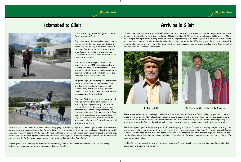



### **Islamabad to Gilgit Arriving in Gilgit** Arriving in Gilgit





It is not so straightforward to get to or return from the town of Gilgit.

Flights are more often cancelled than fly due to the weather in the mountains so it is best to come prepared to stay in Islamabad until you can leave. You will be expected to tip anyone who does you a service so make sure you have plenty of rupees handy - 50 or 100 rupee notes are very useful.

You can change sterling or dollars at the airport or use an ATM - those attached to an international bank are more reliable. We were advised to withdraw money in Islamabad rather than wait until we reached Gilgit because the exchange rate is better in the city.

To get to Gilgit you are flying over the foothills of the Himalya and it can be turbulent. The weather is variable in the mountains and it can be very British-like in May - rain and cloud, or it can be hot. So come prepared with waterproofs and warm jackets.

Flights to Gilgit leave early in the morning and must be confirmed the day before. If there is a backlog from a previous day's cancellation it is worth going to the airport just in case someone made other arrangements and does not turn up for their flight. We learnt this from our return experience when the previous day's flight was cancelled, and, after the event, we were asked why we hadn't turned up on the off chance of a no-show.

Whatever you do you need to plan in a possible delay going to or leaving Gilgit. If you have a flight booked from Islamabad on your return you need at least 4 days. Two for flight cancellations then another two for travelling to Islamabad by road if necessary. It actually costs a little less to go by road and there are a range of options from public transport to private jeep. But this must be balanced against comfort and the risk of travelling on a road that was always risky for Shia Muslims and is now just as risky for foreigners, since the terrorist atrocity at Nanga Parbat Base Camp.

We felt quite safe in the Valley but exercised caution in Gilgit. Ahmad Ali and Hashim Ali both took our safety very seriously and took care that we were escorted whenever possible.

Mr Hashim Ali, the Headmaster of the BASE school met us at the airport and would probably be the person to meet any volunteers if he is able. He took us to the home of his father-in-law, Mr Ahmad Ali, a few miles away in Danyore. Mr Ahmad Ali is a significant figure in the history of education in the Bagrote Valley. His eldest daughter, Musrat, Mr Hashim Ali's wife, was the first girl ever to be educated in the Valley. She is now a teacher in the NEF primary school for girls in Hopay. Girls' education has come a long way in the Bagrote Valley since Musrat was taught at home and enrolled at the Boys' School so that she could sit the examinations there.



#### Mr Ahmad Ali

#### Mr Hashim Ali and his wife Musrat

There are two options for travelling to the Bagrote Valley from Gilgit or Danyore. One is public transport which means a jeep that is tight-packed but a lot cheaper than the second option which is a private jeep. Hashim has a cousin who is prepared to do the return journey for 3000 Rupees (about £20). Other private jeeps cost 5,000 - 6,000 depending on your negotiating skills. Once in the Valley it will depend upon where you are staying as to how long the journey takes.

The advantage of a private jeep is that you can do your shopping in Gilgit or Danyore and load up the jeep as you go. You also get taken all the way home which, when you are staying in Hopay, saves you a 45 minute fairly strenuous walk. Staying in Datuche is fine because that is the end of the journey. I believe there are a number of other jeeps that travel between the six villages in the Valley but we did not use them. My usual mode of transport was on the back of a motorbike and Tim used his mountain bike.

Hashim Ali used his motorbike to travel between Hopay and Danyore which takes a lot less time than the jeep but limits the amount of shopping you can carry.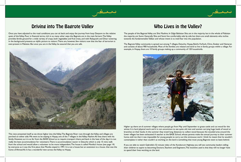



### Driving into The Bagrote Valley

Once you have adjusted to the road conditions you can sit back and enjoy the journey from busy Danyore to the relative quiet of the Valley. Poor in financial terms, rich in so many other ways the Bagrotis are in the main farmers. The Valley provides fertile ground for a wide variety of crops, both vegetables and fruit trees, and with Rakaposhi and Dinar towering in the background presents an idyllic picture to visitors. There are, however, few visitors now that the fear of terrorism is ever-present in Pakistan. But once you are in the Valley be assured that you are safe.



This view presented itself as we drove higher into the Valley. The Bagrote River runs through the Valley and villages are perched on either side. We were to be staying in Hopay, one of the 7 villages in the Valley. Hashim Ali lives there with his family. However, as it is so far from the BASE School as to require transport there and back in the heat of the day, it is not really the best accommodation for volunteers. There is accommodation nearer in Datuche which is only 15 mins walk from the school and would allow a volunteer to be more independent. The house is called Monika's house (see page 14) by everyone as it was the first place that Monika stayed in 1991. It is not a house but an extension to a house. that was the home of Ahmad Ali. It has a wonderful view across the Valley to Hopay.

## Who Lives in the Valley?

The people of the Bagrote Valley are Shia Muslims. In Gilgit Baltistan Shia are in the majority but in the whole of Pakistan the majority are Sunni. Generally Shia and Sunni live comfortably side by side but there are small elements who incline towards the fundamentalist Taliban and whose intent is to instil fear into the population.

The Bagrote Valley community is spread out among 7 villages, Datuche, Hopay, Bulchi, Farfooh, Chira, Sinaker and Hamaran and consists of about 900 households. Most of the families are related and tend to live in family groups within a village. For example, in Hopay, there are 10 family groups making up a community of 120 households.



Higher up there are 6 summer villages where people go from May until September to graze cattle and cut wood for the winter. It is hard physical work and it is not uncommon to see quite old men and women carrying huge loads of wood or branches on their backs. In the summer they travel long distances to collect wood because the wooded area around the lower villages has been exhausted. A teacher at the BASE School, whose parents make the annual journey to their summer home, told me that it was impossible for young people to carry out this strenuous work. I think he meant that he wouldn't contemplate it rather than couldn't as working on the land is something that most young Bagrotis want to leave behind.

If you are able to watch Gabriella's 52 minute video of the Karakorum Highway you will see community leaders telling their children to aspire to becoming Doctors, Teachers and Engineers, The incentive used is that they will no longer have to spend their lives working on the land.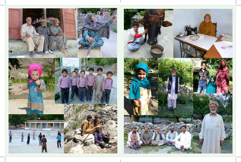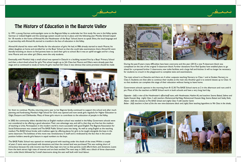

#### The History of Education in the Bagrote Valley

In 1991 a young German anthropoligist came to the Bagrote Valley to undertake her first study. No one in the Valley spoke German or indeed English and the sewerage system would not be in place until the following year. Monika Schneid stayed for 18 months in the home of Ahmad Ali, the Headmaster of the Boys' School, learnt to speak Shina, the local language and in partnership with Ahmad Ali, started to transform the face of education in the Valley.

Ahmad Ali shared his vision with Monika for the education of girls. He had, in1986 already started to teach Musrat, his eldest daughter, at home and enrolled her at the Boys' School so that she could take examinations there. Ahmad Ali went literally knocking on doors to find parents keen to send their girls to school. But it was an uphill struggle and for a long time Musrat and one other girl, Dilara, were the only students.

Eventually, with Monika's help a small school was opened in Datuchi in a building vacated first by a Boys' Primary School and then a short-lived school for girls. This school taught up to 5th Class but Musrat and Dilara were already past that stage and so continued to study at home. As girls reached 5th Class it was obvious that some provision should be made



for them to continue. Monika, returning every year to her Bagrote family, continued to support the school and, after much planning and fundraising, Monika's High School for Girls was opened and now sends girls regularly for Higher Education to Gilgit, Danyore and Oshikandas. Many of these girls return to contribute to the education of people in the Valley,

In 2002 the community elders decided that an English medium school was needed in the Valley. Goverment schools were not considered to be offering a good education. Their one advantage was, and still is, that they are free but the medium of teaching is Urdu. Participation in the modern world is more successful with good English. The Bagrote Association for Social Enhancement was created and The BASE Public School came into being. As well as using English as the teaching medium The BASE School broke with tradition again by offering places for girls to be taught alongside the boys in the same classroom. The boldness of this move was revolutionary in itself and is vindicated by the fact that in the annual position holders awards girls feature in equal numbers to the boys.

The BASE Public School was opened on rented ground with teaching under the shade of the trees. Within a couple of years 5 tents were purchased with donations and then the rented land was purchased. This was nothing short of miraculous because the only income was from fees, kept very low so that parents could afford them, and donations. Loans from the bank attract high rates of interest and are best avoided. The next step, in 2005, was a block of three classrooms and a toilet block, followed by 5 small classrooms along the east wall built with local labour.



During the past 8 years many difficulties have been overcome and this year (2013) a new 9-classroom block was completed on the site of the original 3-classroom block. Further donations from Red Spokes have enabled plans to go ahead for a proposed further 3 classrooms, new toilet facilities and a large hall and kitchen. It will no longer be necessary for students to crouch in the playground to complete tests and examinations.

The main school is at Datuche and there are 4 other outposts teaching Nursery to Class 1 and at Sinaker, Nursery to Class 5. Students are then able to continue their studies at the main site. Another goal is to extend classes up to Class 12 so that students can complete this stage of their education without having to leave home.

Government schools operate in the morning from 8-12.30. The BASE School starts at 2 in the afternoon and runs until 6 pm. Most of the the teachers at BASE School work in both schools and have a very long, hard day.

*Opposite - (left) a view of the Headmaster's office/staff room, with Headmaster, Hashim Ali, and teachers Seema Batool, Salima and Sajida Hussain Baig (right) Class 2 with teachers Muhammad Aqil Baig, Muhammad Hussain Baig, Seema Batool and Sadiq Shah, Above - (left) the entrance to The BASE School and (right) Class 4 with teacher Sarim Below - (left) teachers in front of the the new nine-classrooms block and (right) Ibrar teaching logarithms to 9th Class in the shade,* 

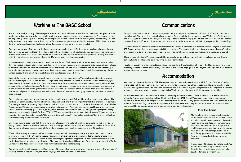

### Working at The BASE School

At the outset we had no way of knowing what sort of support would be most suitable for the school. Our plan for the 6 weeks was to find out how volunteers could work best with students, teachers and the community. The request had been for help with spoken English, not reading or writing and, as the majority of teachers have degrees, understanding was not really an issue. I took some postcards of London for conversation pieces and we bought a couple of TEFL books that we thought might help. In addition I collected a New Statesman on the way out for current affairs.

Our eventual pattern of working evolved over the first two weeks. It was difficult to refuse teachers who were hoping that we would come in and teach their classes but with no idea about local teaching styles, what lessons had gone before or where the lesson was to lead and no text book to look at before hand, this task was beyond me certainly. Tim found it easier in Maths because the process of teaching Maths seems to rise above nationality.

In discussion with Hashim we arrived at a workable plan. From 1.30-2.30 we would work with teachers and then when they had started to teach, after a later start than usual, we would make our own arrangements to support them. I offered to observe and work on pronunciations that caused difficulties. Tim was more interactive and did do some teaching. The most effective arrangement was to work with those teachers who were not teaching, in small discussion groups. I used the London postcards and an article about Pakistan and the elections to good effect.

Some of the teachers were keen to speak out in our lessons, others not so keen. The small group discussions worked well for those shyer teachers and it was not long before many of them overcame their reluctance and became engaged. Some were still reluctant at the end of our visit. I think more focussed sessions with selected teachers would work well as opposed to self-selected groups. At the start the men and women seemed to prefer to separate and I was dragged off to talk with the women about gender related issues while Tim was engaged by the men who were more interested in agriculture and politics. Mixed groups seemed to work better if they were more tightly structured with teachers taking turns to input.

Our conclusions were that the teachers are the key people to work with, followed by students in the lower classes. The teachers are communicating new vocabulary and ideas in English and it is very important that they pronounce it correctly. The young students are learning English from scratch and pronunciation learned correctly at the outset will be established. Pronunciation difficulties we encountered were: rhythm/intonation – Pakistanis speak more quickly and with a sing-song lilt. We worked on slowing speech down, pausing after commas and sentences and separating syllables; mispronouncing consonants, for example saying F for P and W for V. We worked on this a lot but with limited success. We pointed out the confusion that could arise, for example "She was wearing a veil (whale)", "She walked past (fast)" but it is very difficult to alter mislearned pronunciation in a short time.

Our major limiting factor was that there is no means of reproducing material. With no textbooks we had to write out enough copies of text for teachers to share. It was not always appropriate to have text written on the board. This meant that we had to plan and prepare materials for 6 l-hour sessions each week for between 13 and 20 teachers.

We would advise any volunteers to have some work prepared before coming so that you are not tied down as much as we were. Focussed 15 - 20 minute lessons with younger children, general discussion and strategies to engage even the shyest of teachers worked well for us but are not everyone's preferred approach.. BASE School Teachers love to be involved and love to act. We prepared scripts of Jack and the Beanstalk and Hansel and Gretel and wrote scenarios 'At the Doctor's', 'In the Restaurant', etc which were very well received and entertaining.

You will be working with educated, qualified teachers. Understanding the written word is not the problem. The stucture of everyday speech in English, the rhythm of the language and pronunciation are the issues.

#### **Communications**

Bring an old mobile phone and charger with you so that you can put a local network SIM card (ESCON) in it for use in the Valley and Gilgit area. It is relatively cheap to phone Europe and the line is loud and clear. We found difficulty sending and receiving texts. Credit can be bought in 100 Rupee scratch cards in Hopay or Datuche. The ESCON network operates between 7 am and 10 pm and does not work in Islamabad. so make your phone calls before you get on the plane in Gilgit.

Currently there is no internet connection available in the valley but there are two internet cafes in Danyore. It costs about 100 Rupees an hour but on some days availability is unreliable. The service itself is unreliable, too - once I couldn't upload any photographs to my blog and then I was told that I had no Yahoo account so couldn't send any emails. Be prepared.

There is electricity in the Valley, again unreliable, but usually for some hours every day. You can charge up your laptop, camera, Kindle, mobile phone, etc if you bring the right connectors.

People get about by walking, motorbike and jeep. Tim was the only cyclist either of us saw - Red Spokes brings a tour up the Valley to camp and then return every September. Public service jeeps go daily to Danyore and Gilgit. For more comfort a private jeep can be hired.

#### **Accommodation**

We stayed in Hopay, at the home of Mr Hashim Ali, about 45 mins walk away from the BASE School. Because of the heat in the middle of the day, Hashim did not want me walking to school, so had either to return and take me to school after lunch or arrange for someone to come and collect me. This is clearly not a good arrangement in the long term. If, however, volunteers came with bicyles it would be a possibility. Tim locked his bike away in Hashim's garage in the village.

Alternative accommodation would be at what is universally known as Monika's house in Datuchi. It is where she stayed when she first came to the Valley and is a 15 min walk from the BASE School. Volunteers staying in this extension to Ahmad Ali's house would be independent. For cooking there would be a 2-ring gas cooker. I have not come across an oven either in Danyore or Bagrote. As the arrangement is that volunteers would be provided with accommodation and food, there would be some arrangement whereby supplies would be made available.



#### Monika's house

Monika's house is a self contained extension to the house where Ahmad Ali lived in Datuchi and which he still owns. It consists of one airy room for living and sleeping, one washroom with toilet and one area for storage, which could be converted into living space by putting mats on the floor. Cooking would be on a small 2-ring gas cooker and water is available from a tap outside. Basic foods would be provided.

It takes about 30 minutes to walk to the BASE School on an undulating unmetaled road. Datuche has a small shop, a mechanic and a tea shop for simple refreshment.

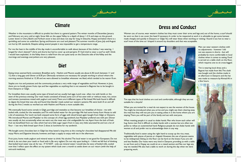



#### Climate

Weather in the mountains is difficult to predict but there is a general pattern. The winter months of December, January and February are very cold at night. Snow falls on the upper Valley to a depth of about 1-2 ft and stays on the ground. Lower down in Chira, Bulchi and Farfooh snow is less and does not stay for long. In Datuche, Hopay and below there is a sprinkling and some ice underfoot. Spring and Autumn are cool and pleasant.The summer months of June, July and August are hot by UK standards. Despite asking several people it was impossible to get a temperature range.

For me the heat in the middle of the day made it uncomfortable to walk about, because of the clothes I was wearing. I longed for short sleeved T shirts and shorts but had to cover up and perspire. If I had tried to wear a scarf as well I think I would have exploded.. In the Valley there is relief from the sun quite early on the Datuche side of the Valley and the mornings and evenings everywhere are very pleasant.

#### **Diet**

Eating times seemed fairly consistent. Breakfast early - Hashim and Musrat usually ate about 6.30, lunch between 11 and 12, then a long gap until dinner at 8.30 pm. Obviously variations are necessary for people working in school where the morning sessions finished at 12.30 and we were allowed to breakfast whenever we liked, which tended to be nearer 8 am.

Staples are rice and potatoes and the community produces a very wide range of vegetables and fruit. However, in June, there are no locally grown fruits ripe and few vegetables so anything that is not seasonal in Bagrote has to be bought in from Danyore or Gilgit.

For breakfast there was usually some type of bread and we usually had eggs. Lunch was often rice with lentils or the stew of the previous evening. Our main meals consisted of bread, some sort of hot stew with or without meat, rice, onion and tomato (sometimes mixed with yoghurt and mint).There are 6 different types of flat bread. We both found it difficult to digest the bread that was oily and found that blander meals suited our western systems. We were both ill on and off during the first 2 weeks so worked out with Hashim and Musrat a more suitable diet.

We eventually found some cereals in Gilgit, porridge and weetabix so that became our breakfast of choice - me with boiled milk, cooled, for the weetabix, and Tim with boiled water for the porridge. We had some honey from Hunza to add a bit of sweetness. For lunch we both enjoyed some form of eggs with sliced bread, again bought from Gilgit or Danyore. We introduced Musrat and Mujtabar to the concept of a fried egg sandwich, but Mujtabar prefered one with jam. Dinner was usually ok, but occasionally, when we went out, the meat was a bit undigestible for me. Apart from the lack of fresh fruit we benefitted from our diet, which had very little sugar (apart from in tea), very little saturated fat and not a lot of flour - I ate very little bread apart from 2 slices at lunchtime for my sandwich.

We bought some chocolate bars in Gilgit but they lasted a long time as the craving for chocolate had disappeared. We did enjoy Marie and Digestive biscuits, however, and kept a supply to enjoy with tea in the afternoon.

Fruit juice, home made yoghurt and mineral water to drink. No alcohol. The local water is not good for Europeans. Do not drink it, do not clean your teeth or food with it. Be very vigilant. Do not rely upon boiling it - I think we fell foul of thinking that boiled local water was ok for tea - IT IS NOT - only use mineral water. I would also be wary of boiled milk, cooled now that I reflect upon the effect on my system which took over a month to settle down on our return (with the help of anti-acid medicine).

#### Dress and Conduct

Women can, of course, wear western clothes but they must cover their arms and legs and, out of the home, a scarf should be worn so that it can cover the head if necessary. In order to be respected at work it is advisable to get some kameez made cheaply and quickly in Danyore or Gilgit. You will wear these when working or visiting. I found it too hot to wear a scarf most of the time so I draped it around my shoulders and that was acceptable.



Tim says that his local clothes are cool and comfortable, although they are not suitable for a bicycle!

When you are invited for a meal do not expect to see the women of the house. You might be introduced when you arrive and you might see them clearing away the meal but they will not join you in eating unless it is the home where you are staying. There you will be part of the family and eat with everyone.

When meeting people it is usual to shake hands. Men who know each other will hug. Some men find it difficult to shake hands with a woman but are often too polite to refuse an outstretched hand. Religious people do not shake hands with women at all and prefer not to acknowledge them in any way.

Traditionally, food is eaten using the right hand to scoop up the rice, meat, vegetables with pieces of parota or chapatti However, the use of spoons seems to be widespread. Sitting on the floor can be hard on the knees if you are old and less flexible. Our hosts were very kind in Danyore, providing us with a table to eat from and in Hopay we could sit on a raised section and flex our legs any way we needed. We also had a table to work on during the day when we were preparing work.

Men can wear western clothes with no adjustments - however I did not see anyone in shorts - but will probably be more comfortable in local clothes when it comes to eating. Food is served on a table cloth on the floor, which requires one to sit cross-legged.

Tim is wearing local dress and a Bagroti hat made from felt. The cloth was bought and the clothes made in an afternoon in Danyore and the hat was made to measure by Ahmad Ali in a few hours.

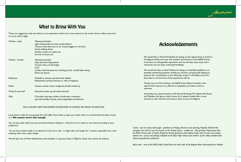#### What to Bring With You

These are suggestions only and relate to our experience which was in the summer. In the winter there is often snow and it is very cold at night.

| Clothes - male      | Waterproof jacket<br>Light clothing that you feel comfortable in<br>Trousers that allow you to sit crossed legged on the floor<br>Good walking shoes<br>Sandals, crocks are useful too<br>Sun hat of some sort |
|---------------------|----------------------------------------------------------------------------------------------------------------------------------------------------------------------------------------------------------------|
| Clothes - Female    | Waterproof jacket<br>Tops that have long sleeves<br>Trousers that are full length<br>Scarf<br>Locally made kameeze for working and for comfortable sitting<br>Shoes (as above)                                 |
| <b>Medicines</b>    | Painkillers, sickness and diarrhoea tablets<br>Rehydration sachets, Rennies or milk of magnesia                                                                                                                |
| Other               | Camera, suntan cream, sunglasses, Kindle loaded up                                                                                                                                                             |
| Treats for yourself | Favourite snacks, eg chocolate, biscuits                                                                                                                                                                       |
| Gifts               | Chocolate, keyrings, stickers, handcream, containers<br>eg small jewellery boxes, seeds (vegetables and flowers)                                                                                               |

#### YOU CAN BUY BOTTLED WATER IN DANYORE. IN 6 PACKS OR SINGLY IN DATUCHI

Local water is safe for local people. You will suffer if you drink it, clean your teeth with it or eat food that has been rinsed in it. **We cannot stress this enough.**

You can buy toilet rolls, fruit juice and sliced bread in Danyore - check first if it is sweet or not sweet according to your preference.

You can have clothes made in an afternoon if you are a man - it might take a bit longer for a woman, especially if you want anything other than a plain design.

We did spot tins of Heinz baked beans and weetabix in a grocers shop in Gilgit for those who cannot do without.

#### Acknowledgements

We would like to thank Red Spokes for giving us this opportunity to travel to the Bagrote Valley and meet the students and teachers of the BASE School. It has been an unforgetable experience and we will take away many warm memories and, we hope, enduring friendships.

We would also like to thank Monika for being so cheerfully available to us, patiently answering questions, finding out answers and generally keeping us positive. Her contribution to the education of girls in the Valley cannot be described in normal terms Only superlatives will do.

Thanks, too, to all the teachers and BASE School Board members who opened their hearts to us, offered us hospitality and made us feel so welcome.

And finally very special thanks to Mr Ahmad Ali, Roqia, Mr Hashim Ali, Musrat and Mujtaba who gave us their homes for 6 weeks, looked after us and showed us, with warmth and humour, what it was to be Bagroti.

*Centre - top row across both pages - gentlemen of Hopay, Musrat's aunt, spinning, Mujtaba (Hashim Ali's youngest son) with his cow, the teacher at the Sewing Centre - middle row - little girl from Hopay, boys from the BASE school, sister of Sadat (Mujtaba's friend), gentleman from Bulchi, Sadat with his sister and mother bottom row - young men playing volleyball at the Boys' High School, road workers up the valley, notables from Datuche, gentleman of Datuche*

*Back cover - view of the BASE Public School from the other side of the Bagrote River, descending from Farfooh*